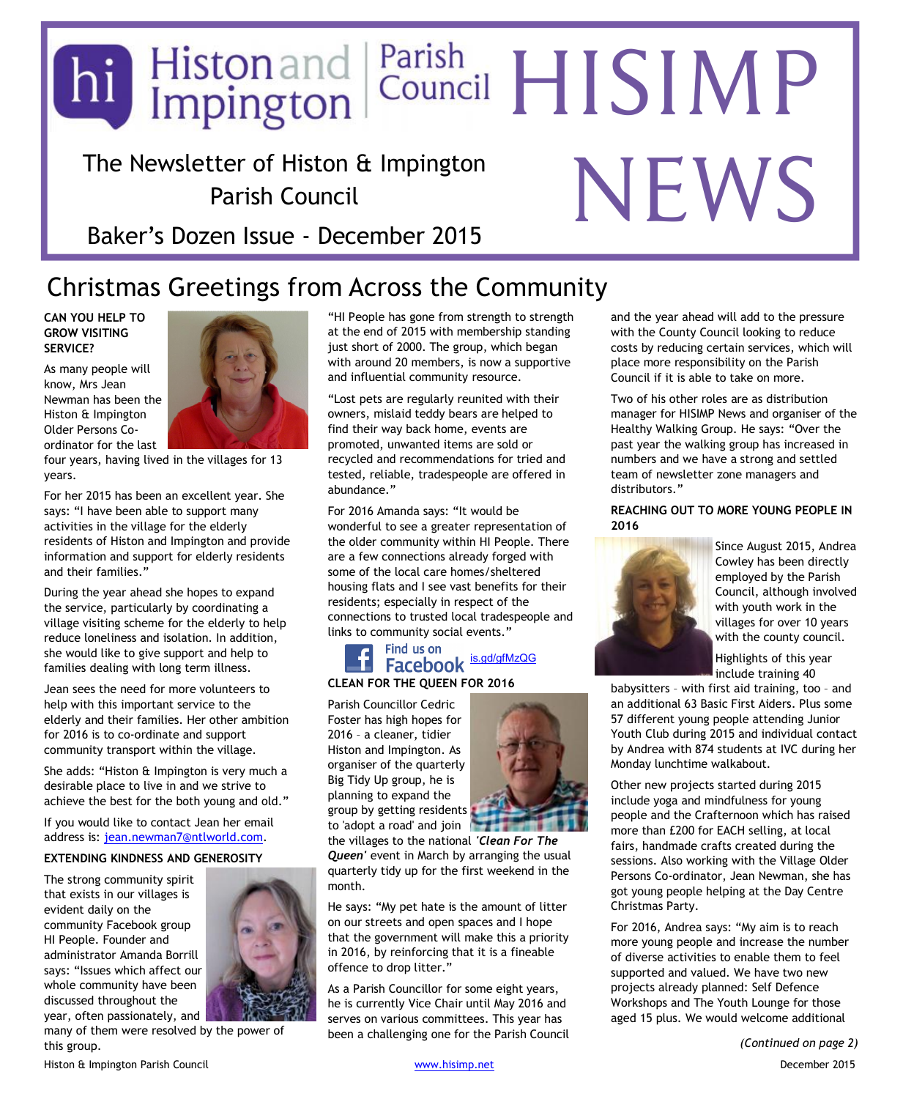# The Newsletter of Histon & Impington Parish Council Baker's Dozen Issue - December 2015 hi Histonand Parish<br>Impington Council HISIMP NEWS

Christmas Greetings from Across the Community

### **CAN YOU HELP TO GROW VISITING SERVICE?**

As many people will know, Mrs Jean Newman has been the Histon & Impington Older Persons Coordinator for the last



four years, having lived in the villages for 13 years.

For her 2015 has been an excellent year. She says: "I have been able to support many activities in the village for the elderly residents of Histon and Impington and provide information and support for elderly residents and their families."

During the year ahead she hopes to expand the service, particularly by coordinating a village visiting scheme for the elderly to help reduce loneliness and isolation. In addition, she would like to give support and help to families dealing with long term illness.

Jean sees the need for more volunteers to help with this important service to the elderly and their families. Her other ambition for 2016 is to co-ordinate and support community transport within the village.

She adds: "Histon & Impington is very much a desirable place to live in and we strive to achieve the best for the both young and old."

If you would like to contact Jean her email address is: [jean.newman7@ntlworld.com](mailto:jean.newman7@ntlworld.com).

### **EXTENDING KINDNESS AND GENEROSITY**

The strong community spirit that exists in our villages is evident daily on the community Facebook group HI People. Founder and administrator Amanda Borrill says: "Issues which affect our whole community have been discussed throughout the year, often passionately, and

many of them were resolved by the power of this group.

at the end of 2015 with membership standing just short of 2000. The group, which began with around 20 members, is now a supportive and influential community resource. "Lost pets are regularly reunited with their

"HI People has gone from strength to strength

owners, mislaid teddy bears are helped to find their way back home, events are promoted, unwanted items are sold or recycled and recommendations for tried and tested, reliable, tradespeople are offered in abundance."

For 2016 Amanda says: "It would be wonderful to see a greater representation of the older community within HI People. There are a few connections already forged with some of the local care homes/sheltered housing flats and I see vast benefits for their residents; especially in respect of the connections to trusted local tradespeople and links to community social events."

### Find us on Facebook is.gd/gfMzQG

### **CLEAN FOR THE QUEEN FOR 2016**

Parish Councillor Cedric Foster has high hopes for 2016 – a cleaner, tidier Histon and Impington. As organiser of the quarterly Big Tidy Up group, he is planning to expand the group by getting residents to 'adopt a road' and join

the villages to the national *'Clean For The Queen'* event in March by arranging the usual quarterly tidy up for the first weekend in the month.

He says: "My pet hate is the amount of litter on our streets and open spaces and I hope that the government will make this a priority in 2016, by reinforcing that it is a fineable offence to drop litter."

As a Parish Councillor for some eight years, he is currently Vice Chair until May 2016 and serves on various committees. This year has been a challenging one for the Parish Council and the year ahead will add to the pressure with the County Council looking to reduce costs by reducing certain services, which will place more responsibility on the Parish Council if it is able to take on more.

Two of his other roles are as distribution manager for HISIMP News and organiser of the Healthy Walking Group. He says: "Over the past year the walking group has increased in numbers and we have a strong and settled team of newsletter zone managers and distributors."

### **REACHING OUT TO MORE YOUNG PEOPLE IN 2016**



Since August 2015, Andrea Cowley has been directly employed by the Parish Council, although involved with youth work in the villages for over 10 years with the county council.

Highlights of this year include training 40

babysitters – with first aid training, too – and an additional 63 Basic First Aiders. Plus some 57 different young people attending Junior Youth Club during 2015 and individual contact by Andrea with 874 students at IVC during her Monday lunchtime walkabout.

Other new projects started during 2015 include yoga and mindfulness for young people and the Crafternoon which has raised more than £200 for EACH selling, at local fairs, handmade crafts created during the sessions. Also working with the Village Older Persons Co-ordinator, Jean Newman, she has got young people helping at the Day Centre Christmas Party.

For 2016, Andrea says: "My aim is to reach more young people and increase the number of diverse activities to enable them to feel supported and valued. We have two new projects already planned: Self Defence Workshops and The Youth Lounge for those aged 15 plus. We would welcome additional

Histon & Impington Parish Council and the Council [www.hisimp.net](http://www.hisimp.net/) becember 2015

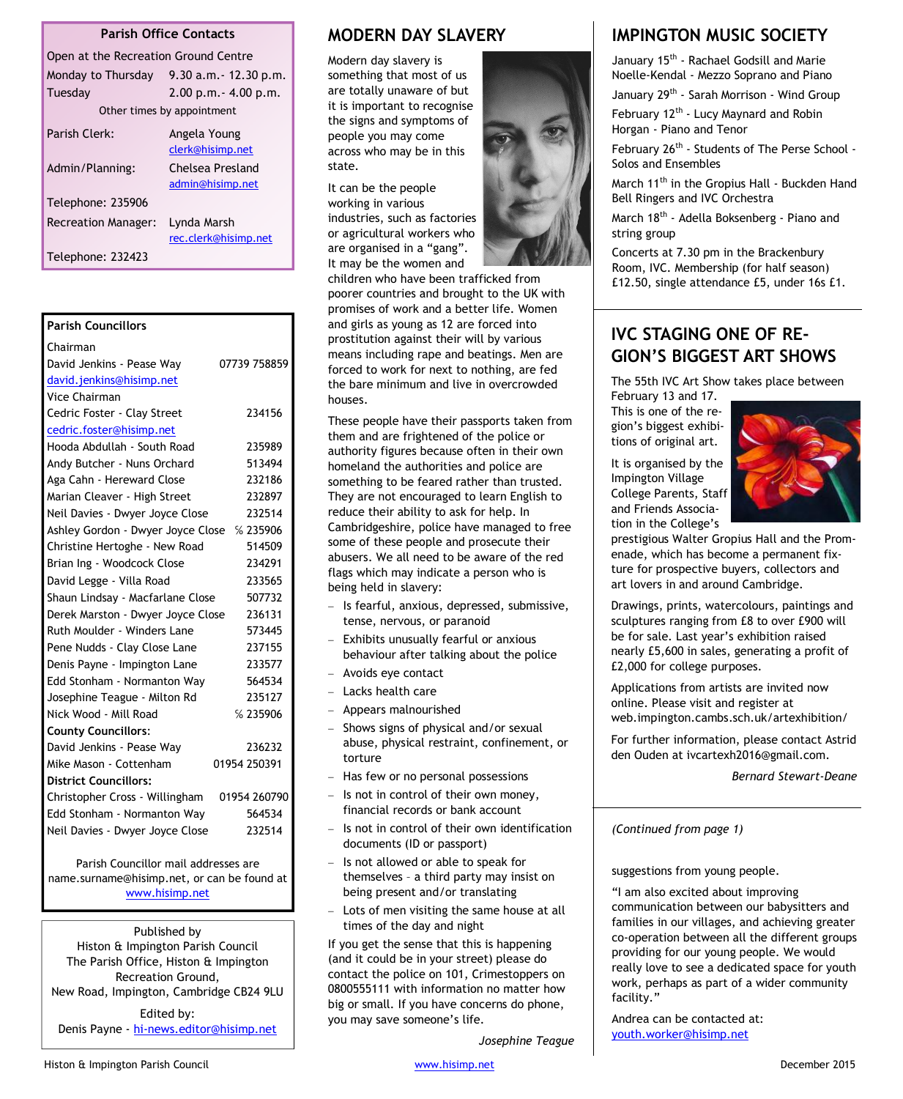### **Parish Office Contacts**

| Open at the Recreation Ground Centre |                                      |  |
|--------------------------------------|--------------------------------------|--|
| Monday to Thursday                   | 9.30 a.m. - 12.30 p.m.               |  |
| Tuesday                              | $2.00$ p.m. $- 4.00$ p.m.            |  |
| Other times by appointment           |                                      |  |
| Parish Clerk:                        | Angela Young<br>clerk@hisimp.net     |  |
| Admin/Planning:                      | Chelsea Presland<br>admin@hisimp.net |  |
| Telephone: 235906                    |                                      |  |
| <b>Recreation Manager:</b>           | Lynda Marsh<br>rec.clerk@hisimp.net  |  |
| Telephone: 232423                    |                                      |  |

| <b>Parish Councillors</b>         |              |
|-----------------------------------|--------------|
| Chairman                          |              |
| David Jenkins - Pease Way         | 07739 758859 |
| david.jenkins@hisimp.net          |              |
| Vice Chairman                     |              |
| Cedric Foster - Clay Street       | 234156       |
| cedric.foster@hisimp.net          |              |
| Hooda Abdullah - South Road       | 235989       |
| Andy Butcher - Nuns Orchard       | 513494       |
| Aga Cahn - Hereward Close         | 232186       |
| Marian Cleaver - High Street      | 232897       |
| Neil Davies - Dwyer Joyce Close   | 232514       |
| Ashley Gordon - Dwyer Joyce Close | %235906      |
| Christine Hertoghe - New Road     | 514509       |
| Brian Ing - Woodcock Close        | 234291       |
| David Legge - Villa Road          | 233565       |
| Shaun Lindsay - Macfarlane Close  | 507732       |
| Derek Marston - Dwyer Joyce Close | 236131       |
| Ruth Moulder - Winders Lane       | 573445       |
| Pene Nudds - Clay Close Lane      | 237155       |
| Denis Payne - Impington Lane      | 233577       |
| Edd Stonham - Normanton Way       | 564534       |
| Josephine Teague - Milton Rd      | 235127       |
| Nick Wood - Mill Road             | %235906      |
| <b>County Councillors:</b>        |              |
| David Jenkins - Pease Way         | 236232       |
| Mike Mason - Cottenham            | 01954 250391 |
| <b>District Councillors:</b>      |              |
| Christopher Cross - Willingham    | 01954 260790 |
| Edd Stonham - Normanton Way       | 564534       |
| Neil Davies - Dwyer Joyce Close   | 232514       |
|                                   |              |

Parish Councillor mail addresses are name.surname@hisimp.net, or can be found at [www.hisimp.net](http://www.hisimp.net/)

Published by Histon & Impington Parish Council The Parish Office, Histon & Impington Recreation Ground, New Road, Impington, Cambridge CB24 9LU

Edited by: Denis Payne - [hi-news.editor@hisimp.net](mailto:hi-news.editor@hisimp.net)

# **MODERN DAY SLAVERY**

Modern day slavery is something that most of us are totally unaware of but it is important to recognise the signs and symptoms of people you may come across who may be in this state.

It can be the people working in various industries, such as factories or agricultural workers who are organised in a "gang". It may be the women and

children who have been trafficked from poorer countries and brought to the UK with promises of work and a better life. Women and girls as young as 12 are forced into prostitution against their will by various means including rape and beatings. Men are forced to work for next to nothing, are fed the bare minimum and live in overcrowded houses.

These people have their passports taken from them and are frightened of the police or authority figures because often in their own homeland the authorities and police are something to be feared rather than trusted. They are not encouraged to learn English to reduce their ability to ask for help. In Cambridgeshire, police have managed to free some of these people and prosecute their abusers. We all need to be aware of the red flags which may indicate a person who is being held in slavery:

- Is fearful, anxious, depressed, submissive, tense, nervous, or paranoid
- Exhibits unusually fearful or anxious behaviour after talking about the police
- Avoids eye contact
- Lacks health care
- Appears malnourished
- $-$  Shows signs of physical and/or sexual abuse, physical restraint, confinement, or torture
- Has few or no personal possessions
- $-$  Is not in control of their own money, financial records or bank account
- Is not in control of their own identification documents (ID or passport)
- Is not allowed or able to speak for themselves – a third party may insist on being present and/or translating
- Lots of men visiting the same house at all times of the day and night

If you get the sense that this is happening (and it could be in your street) please do contact the police on 101, Crimestoppers on 0800555111 with information no matter how big or small. If you have concerns do phone, you may save someone's life.

*Josephine Teague*

# **IMPINGTON MUSIC SOCIETY**

January 15<sup>th</sup> - Rachael Godsill and Marie Noelle-Kendal - Mezzo Soprano and Piano

January 29<sup>th</sup> - Sarah Morrison - Wind Group February 12<sup>th</sup> - Lucy Maynard and Robin

Horgan - Piano and Tenor February 26<sup>th</sup> - Students of The Perse School -

Solos and Ensembles

March 11<sup>th</sup> in the Gropius Hall - Buckden Hand Bell Ringers and IVC Orchestra

March 18<sup>th</sup> - Adella Boksenberg - Piano and string group

Concerts at 7.30 pm in the Brackenbury Room, IVC. Membership (for half season) £12.50, single attendance £5, under 16s £1.

# **IVC STAGING ONE OF RE-GION'S BIGGEST ART SHOWS**

The 55th IVC Art Show takes place between

February 13 and 17. This is one of the region's biggest exhibitions of original art.

It is organised by the Impington Village College Parents, Staff and Friends Association in the College's



prestigious Walter Gropius Hall and the Promenade, which has become a permanent fixture for prospective buyers, collectors and art lovers in and around Cambridge.

Drawings, prints, watercolours, paintings and sculptures ranging from £8 to over £900 will be for sale. Last year's exhibition raised nearly £5,600 in sales, generating a profit of £2,000 for college purposes.

Applications from artists are invited now online. Please visit and register at web.impington.cambs.sch.uk/artexhibition/

For further information, please contact Astrid den Ouden at ivcartexh2016@gmail.com.

*Bernard Stewart-Deane*

*(Continued from page 1)*

suggestions from young people.

"I am also excited about improving communication between our babysitters and families in our villages, and achieving greater co-operation between all the different groups providing for our young people. We would really love to see a dedicated space for youth work, perhaps as part of a wider community facility."

Andrea can be contacted at: [youth.worker@hisimp.net](mailto:youth.worker@hisimp.net)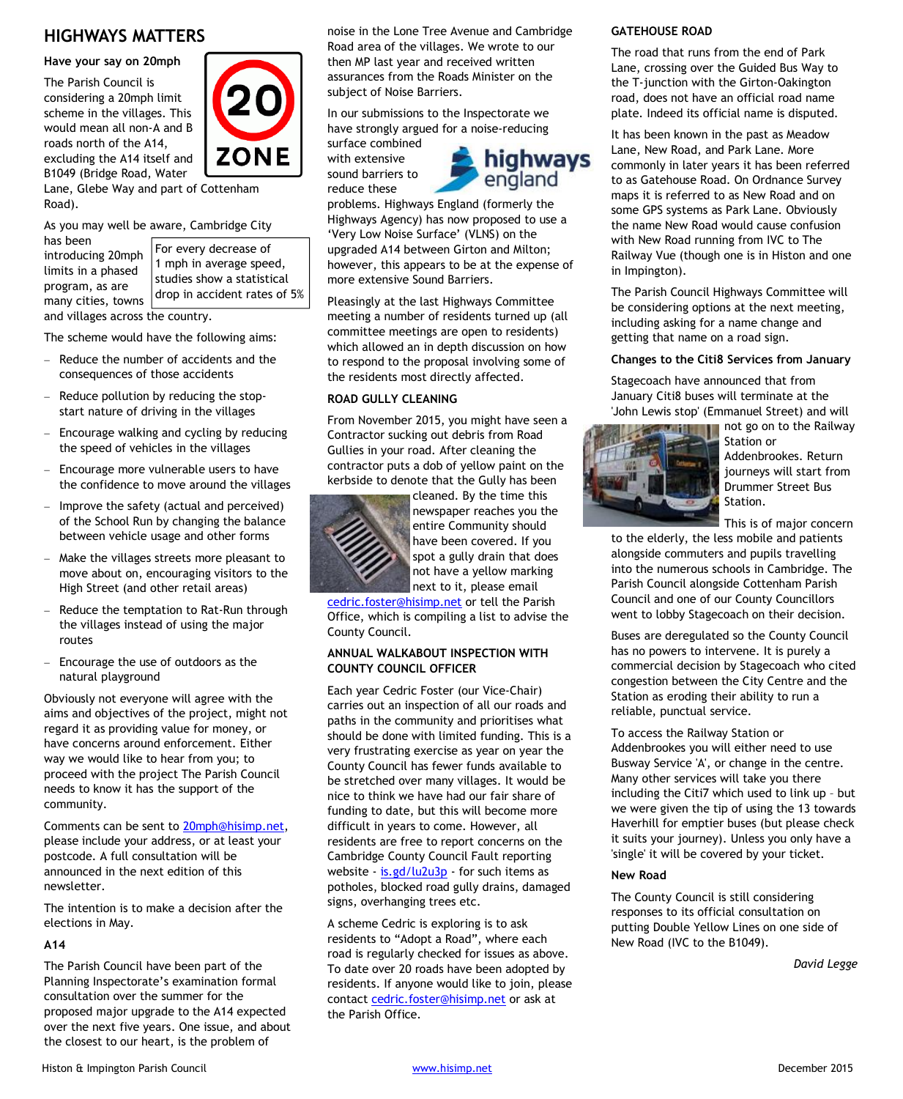# **HIGHWAYS MATTERS**

**Have your say on 20mph**

The Parish Council is considering a 20mph limit scheme in the villages. This would mean all non-A and B roads north of the A14, excluding the A14 itself and B1049 (Bridge Road, Water



Lane, Glebe Way and part of Cottenham Road).

As you may well be aware, Cambridge City has been

introducing 20mph limits in a phased program, as are many cities, towns and villages across the country.

For every decrease of 1 mph in average speed, studies show a statistical drop in accident rates of 5%

The scheme would have the following aims:

- Reduce the number of accidents and the consequences of those accidents
- Reduce pollution by reducing the stopstart nature of driving in the villages
- , Encourage walking and cycling by reducing the speed of vehicles in the villages
- $-$  Encourage more vulnerable users to have the confidence to move around the villages
- $-$  Improve the safety (actual and perceived) of the School Run by changing the balance between vehicle usage and other forms
- Make the villages streets more pleasant to move about on, encouraging visitors to the High Street (and other retail areas)
- Reduce the temptation to Rat-Run through the villages instead of using the major routes
- $-$  Encourage the use of outdoors as the natural playground

Obviously not everyone will agree with the aims and objectives of the project, might not regard it as providing value for money, or have concerns around enforcement. Either way we would like to hear from you; to proceed with the project The Parish Council needs to know it has the support of the community.

Comments can be sent to [20mph@hisimp.net](mailto:20mph@hisimp.net), please include your address, or at least your postcode. A full consultation will be announced in the next edition of this newsletter.

The intention is to make a decision after the elections in May.

### **A14**

The Parish Council have been part of the Planning Inspectorate's examination formal consultation over the summer for the proposed major upgrade to the A14 expected over the next five years. One issue, and about the closest to our heart, is the problem of

noise in the Lone Tree Avenue and Cambridge Road area of the villages. We wrote to our then MP last year and received written assurances from the Roads Minister on the subject of Noise Barriers.

In our submissions to the Inspectorate we have strongly argued for a noise-reducing

surface combined with extensive sound barriers to reduce these



problems. Highways England (formerly the Highways Agency) has now proposed to use a 'Very Low Noise Surface' (VLNS) on the upgraded A14 between Girton and Milton; however, this appears to be at the expense of more extensive Sound Barriers.

Pleasingly at the last Highways Committee meeting a number of residents turned up (all committee meetings are open to residents) which allowed an in depth discussion on how to respond to the proposal involving some of the residents most directly affected.

### **ROAD GULLY CLEANING**

From November 2015, you might have seen a Contractor sucking out debris from Road Gullies in your road. After cleaning the contractor puts a dob of yellow paint on the kerbside to denote that the Gully has been



cleaned. By the time this newspaper reaches you the entire Community should have been covered. If you spot a gully drain that does not have a yellow marking next to it, please email

[cedric.foster@hisimp.net](mailto:cedric.foster@hisimp.net?subject=Gullies) or tell the Parish Office, which is compiling a list to advise the County Council.

### **ANNUAL WALKABOUT INSPECTION WITH COUNTY COUNCIL OFFICER**

Each year Cedric Foster (our Vice-Chair) carries out an inspection of all our roads and paths in the community and prioritises what should be done with limited funding. This is a very frustrating exercise as year on year the County Council has fewer funds available to be stretched over many villages. It would be nice to think we have had our fair share of funding to date, but this will become more difficult in years to come. However, all residents are free to report concerns on the Cambridge County Council Fault reporting website - [is.gd/lu2u3p](http://is.gd/lu2u3p) - for such items as potholes, blocked road gully drains, damaged signs, overhanging trees etc.

A scheme Cedric is exploring is to ask residents to "Adopt a Road", where each road is regularly checked for issues as above. To date over 20 roads have been adopted by residents. If anyone would like to join, please contact [cedric.foster@hisimp.net](mailto:cedric.foster@hisimp.net?subject=Adopt%20a%20Road) or ask at the Parish Office.

### **GATEHOUSE ROAD**

The road that runs from the end of Park Lane, crossing over the Guided Bus Way to the T-junction with the Girton-Oakington road, does not have an official road name plate. Indeed its official name is disputed.

It has been known in the past as Meadow Lane, New Road, and Park Lane. More commonly in later years it has been referred to as Gatehouse Road. On Ordnance Survey maps it is referred to as New Road and on some GPS systems as Park Lane. Obviously the name New Road would cause confusion with New Road running from IVC to The Railway Vue (though one is in Histon and one in Impington).

The Parish Council Highways Committee will be considering options at the next meeting, including asking for a name change and getting that name on a road sign.

### **Changes to the Citi8 Services from January**

Stagecoach have announced that from January Citi8 buses will terminate at the 'John Lewis stop' (Emmanuel Street) and will



**The latter of the Railway** Station or Addenbrookes. Return journeys will start from Drummer Street Bus Station.

This is of major concern

to the elderly, the less mobile and patients alongside commuters and pupils travelling into the numerous schools in Cambridge. The Parish Council alongside Cottenham Parish Council and one of our County Councillors went to lobby Stagecoach on their decision.

Buses are deregulated so the County Council has no powers to intervene. It is purely a commercial decision by Stagecoach who cited congestion between the City Centre and the Station as eroding their ability to run a reliable, punctual service.

To access the Railway Station or Addenbrookes you will either need to use Busway Service 'A', or change in the centre. Many other services will take you there including the Citi7 which used to link up – but we were given the tip of using the 13 towards Haverhill for emptier buses (but please check it suits your journey). Unless you only have a 'single' it will be covered by your ticket.

### **New Road**

The County Council is still considering responses to its official consultation on putting Double Yellow Lines on one side of New Road (IVC to the B1049).

*David Legge*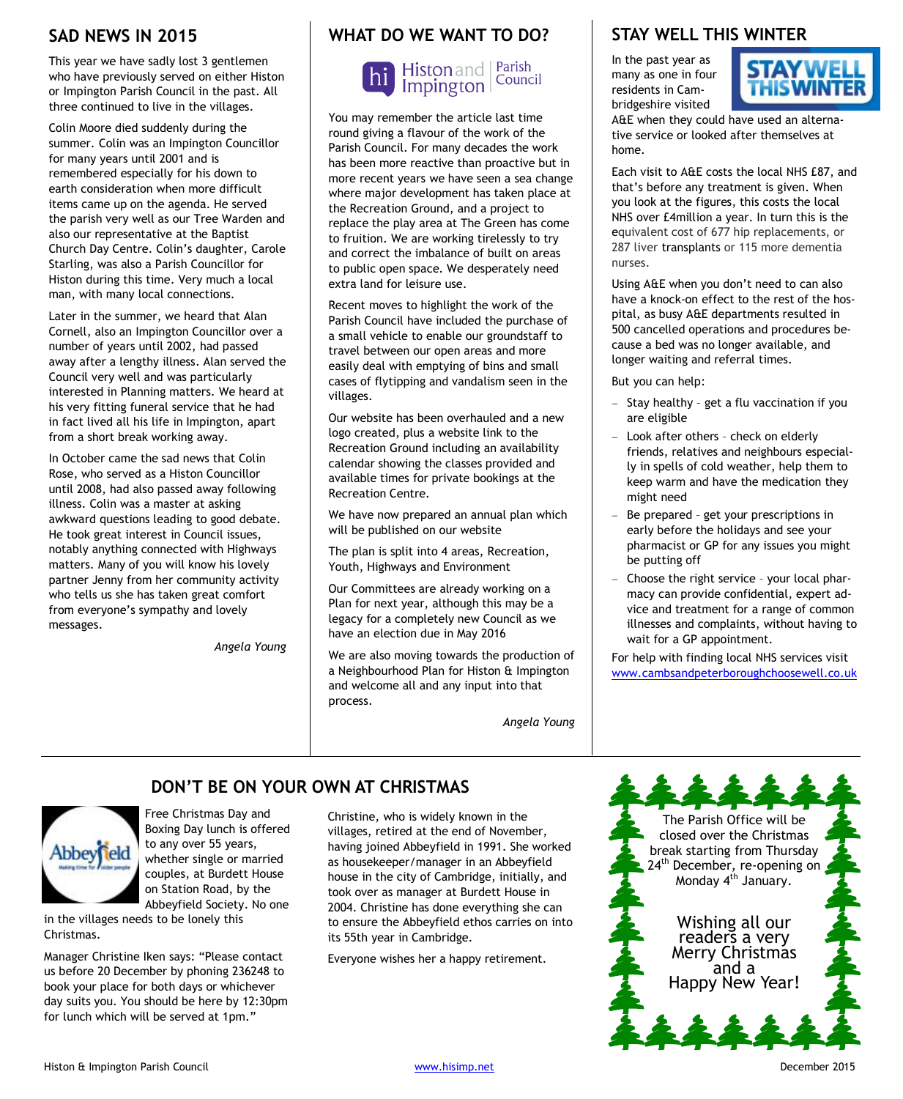# **SAD NEWS IN 2015**

This year we have sadly lost 3 gentlemen who have previously served on either Histon or Impington Parish Council in the past. All three continued to live in the villages.

Colin Moore died suddenly during the summer. Colin was an Impington Councillor for many years until 2001 and is remembered especially for his down to earth consideration when more difficult items came up on the agenda. He served the parish very well as our Tree Warden and also our representative at the Baptist Church Day Centre. Colin's daughter, Carole Starling, was also a Parish Councillor for Histon during this time. Very much a local man, with many local connections.

Later in the summer, we heard that Alan Cornell, also an Impington Councillor over a number of years until 2002, had passed away after a lengthy illness. Alan served the Council very well and was particularly interested in Planning matters. We heard at his very fitting funeral service that he had in fact lived all his life in Impington, apart from a short break working away.

In October came the sad news that Colin Rose, who served as a Histon Councillor until 2008, had also passed away following illness. Colin was a master at asking awkward questions leading to good debate. He took great interest in Council issues, notably anything connected with Highways matters. Many of you will know his lovely partner Jenny from her community activity who tells us she has taken great comfort from everyone's sympathy and lovely messages.

*Angela Young*

# **WHAT DO WE WANT TO DO?**



You may remember the article last time round giving a flavour of the work of the Parish Council. For many decades the work has been more reactive than proactive but in more recent years we have seen a sea change where major development has taken place at the Recreation Ground, and a project to replace the play area at The Green has come to fruition. We are working tirelessly to try and correct the imbalance of built on areas to public open space. We desperately need extra land for leisure use.

Recent moves to highlight the work of the Parish Council have included the purchase of a small vehicle to enable our groundstaff to travel between our open areas and more easily deal with emptying of bins and small cases of flytipping and vandalism seen in the villages.

Our website has been overhauled and a new logo created, plus a website link to the Recreation Ground including an availability calendar showing the classes provided and available times for private bookings at the Recreation Centre.

We have now prepared an annual plan which will be published on our website

The plan is split into 4 areas, Recreation, Youth, Highways and Environment

Our Committees are already working on a Plan for next year, although this may be a legacy for a completely new Council as we have an election due in May 2016

We are also moving towards the production of a Neighbourhood Plan for Histon & Impington and welcome all and any input into that process.

*Angela Young*

# Abbeyfield

Free Christmas Day and Boxing Day lunch is offered to any over 55 years, whether single or married

**DON'T BE ON YOUR OWN AT CHRISTMAS**

couples, at Burdett House on Station Road, by the Abbeyfield Society. No one

in the villages needs to be lonely this Christmas.

Manager Christine Iken says: "Please contact us before 20 December by phoning 236248 to book your place for both days or whichever day suits you. You should be here by 12:30pm for lunch which will be served at 1pm."

Christine, who is widely known in the villages, retired at the end of November, having joined Abbeyfield in 1991. She worked as housekeeper/manager in an Abbeyfield house in the city of Cambridge, initially, and took over as manager at Burdett House in 2004. Christine has done everything she can to ensure the Abbeyfield ethos carries on into its 55th year in Cambridge.

Everyone wishes her a happy retirement.



# **STAY WELL THIS WINTER**

In the past year as many as one in four residents in Cambridgeshire visited



A&E when they could have used an alternative service or looked after themselves at home.

Each visit to A&E costs the local NHS £87, and that's before any treatment is given. When you look at the figures, this costs the local NHS over £4million a year. In turn this is the equivalent cost of 677 hip replacements, or 287 liver transplants or 115 more dementia nurses.

Using A&E when you don't need to can also have a knock-on effect to the rest of the hospital, as busy A&E departments resulted in 500 cancelled operations and procedures because a bed was no longer available, and longer waiting and referral times.

But you can help:

- Stay healthy get a flu vaccination if you are eligible
- Look after others check on elderly friends, relatives and neighbours especially in spells of cold weather, help them to keep warm and have the medication they might need
- Be prepared get your prescriptions in early before the holidays and see your pharmacist or GP for any issues you might be putting off
- , Choose the right service your local pharmacy can provide confidential, expert advice and treatment for a range of common illnesses and complaints, without having to wait for a GP appointment.

For help with finding local NHS services visit [www.cambsandpeterboroughchoosewell.co.uk](http://www.cambsandpeterboroughchoosewell.co.uk/)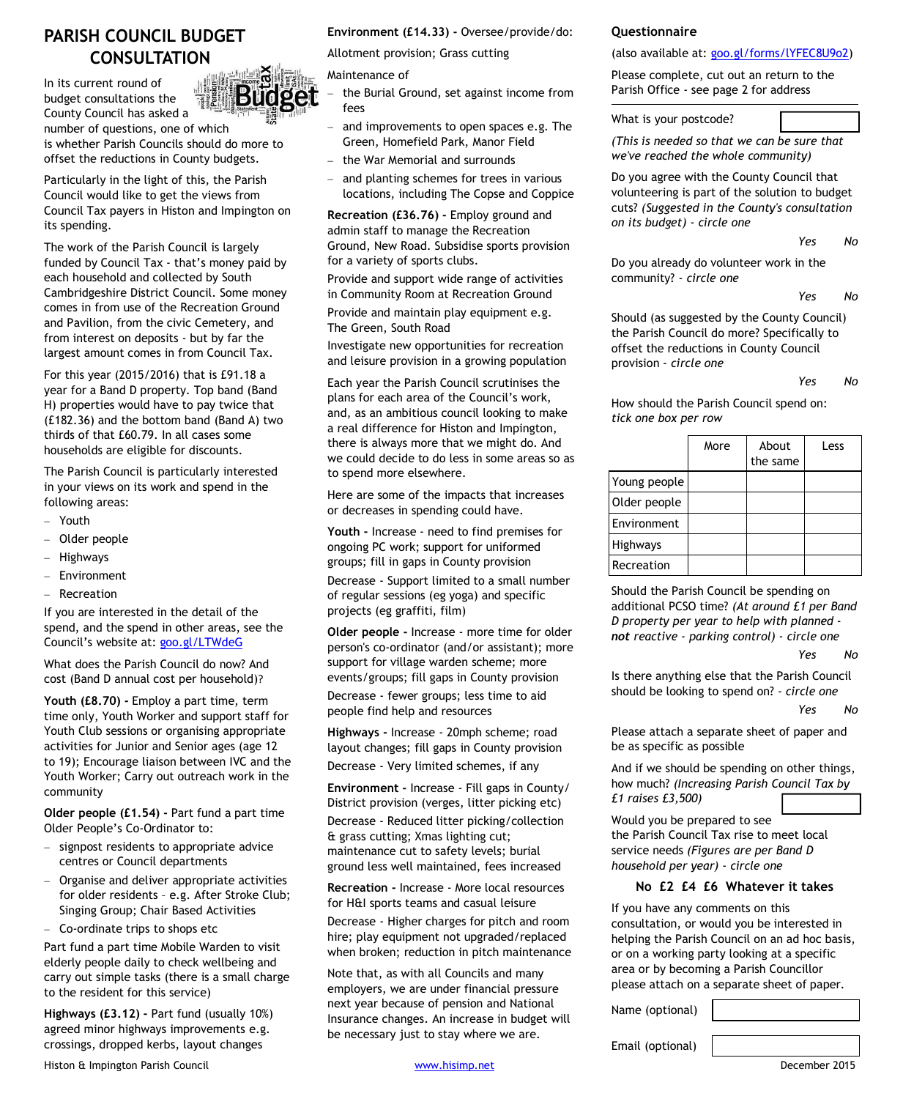# **PARISH COUNCIL BUDGET CONSULTATION**

In its current round of budget consultations the County Council has asked a



number of questions, one of which is whether Parish Councils should do more to offset the reductions in County budgets.

Particularly in the light of this, the Parish Council would like to get the views from Council Tax payers in Histon and Impington on its spending.

The work of the Parish Council is largely funded by Council Tax - that's money paid by each household and collected by South Cambridgeshire District Council. Some money comes in from use of the Recreation Ground and Pavilion, from the civic Cemetery, and from interest on deposits - but by far the largest amount comes in from Council Tax.

For this year (2015/2016) that is £91.18 a year for a Band D property. Top band (Band H) properties would have to pay twice that (£182.36) and the bottom band (Band A) two thirds of that £60.79. In all cases some households are eligible for discounts.

The Parish Council is particularly interested in your views on its work and spend in the following areas:

- , Youth
- Older people
- **Highways**
- Environment
- Recreation

If you are interested in the detail of the spend, and the spend in other areas, see the Council's website at: [goo.gl/LTWdeG](http://goo.gl/LTWdeG)

What does the Parish Council do now? And cost (Band D annual cost per household)?

**Youth (£8.70) -** Employ a part time, term time only, Youth Worker and support staff for Youth Club sessions or organising appropriate activities for Junior and Senior ages (age 12 to 19); Encourage liaison between IVC and the Youth Worker; Carry out outreach work in the community

**Older people (£1.54) -** Part fund a part time Older People's Co-Ordinator to:

- signpost residents to appropriate advice centres or Council departments
- , Organise and deliver appropriate activities for older residents – e.g. After Stroke Club; Singing Group; Chair Based Activities
- $-$  Co-ordinate trips to shops etc

Part fund a part time Mobile Warden to visit elderly people daily to check wellbeing and carry out simple tasks (there is a small charge to the resident for this service)

**Highways (£3.12) -** Part fund (usually 10%) agreed minor highways improvements e.g. crossings, dropped kerbs, layout changes

**Environment (£14.33) -** Oversee/provide/do:

Allotment provision; Grass cutting

Maintenance of

- the Burial Ground, set against income from fees
- and improvements to open spaces e.g. The Green, Homefield Park, Manor Field
- , the War Memorial and surrounds
- and planting schemes for trees in various locations, including The Copse and Coppice

**Recreation (£36.76) -** Employ ground and admin staff to manage the Recreation Ground, New Road. Subsidise sports provision for a variety of sports clubs.

Provide and support wide range of activities in Community Room at Recreation Ground

Provide and maintain play equipment e.g. The Green, South Road

Investigate new opportunities for recreation and leisure provision in a growing population

Each year the Parish Council scrutinises the plans for each area of the Council's work, and, as an ambitious council looking to make a real difference for Histon and Impington, there is always more that we might do. And we could decide to do less in some areas so as to spend more elsewhere.

Here are some of the impacts that increases or decreases in spending could have.

**Youth -** Increase - need to find premises for ongoing PC work; support for uniformed groups; fill in gaps in County provision Decrease - Support limited to a small number of regular sessions (eg yoga) and specific projects (eg graffiti, film)

**Older people -** Increase - more time for older person's co-ordinator (and/or assistant); more support for village warden scheme; more events/groups; fill gaps in County provision Decrease - fewer groups; less time to aid people find help and resources

**Highways -** Increase - 20mph scheme; road layout changes; fill gaps in County provision Decrease - Very limited schemes, if any

**Environment -** Increase - Fill gaps in County/ District provision (verges, litter picking etc) Decrease - Reduced litter picking/collection & grass cutting; Xmas lighting cut; maintenance cut to safety levels; burial ground less well maintained, fees increased

**Recreation -** Increase - More local resources for H&I sports teams and casual leisure

Decrease - Higher charges for pitch and room hire; play equipment not upgraded/replaced when broken; reduction in pitch maintenance

Note that, as with all Councils and many employers, we are under financial pressure next year because of pension and National Insurance changes. An increase in budget will be necessary just to stay where we are.

### **Questionnaire**

(also available at: [goo.gl/forms/lYFEC8U9o2](http://goo.gl/forms/lYFEC8U9o2))

Please complete, cut out an return to the Parish Office - see page 2 for address

### What is your postcode?

*(This is needed so that we can be sure that we've reached the whole community)*

Do you agree with the County Council that volunteering is part of the solution to budget cuts? *(Suggested in the County's consultation on its budget) - circle one*

*Yes No*

Do you already do volunteer work in the community? *- circle one*

*Yes No*

Should (as suggested by the County Council) the Parish Council do more? Specifically to offset the reductions in County Council provision *- circle one*

### *Yes No*

How should the Parish Council spend on: *tick one box per row*

|              | More | About<br>the same | Less |
|--------------|------|-------------------|------|
| Young people |      |                   |      |
| Older people |      |                   |      |
| Environment  |      |                   |      |
| Highways     |      |                   |      |
| Recreation   |      |                   |      |

Should the Parish Council be spending on additional PCSO time? *(At around £1 per Band D property per year to help with planned not reactive - parking control) - circle one*

### *Yes No*

Is there anything else that the Parish Council should be looking to spend on? *- circle one*

### *Yes No*

Please attach a separate sheet of paper and be as specific as possible

And if we should be spending on other things, how much? *(Increasing Parish Council Tax by £1 raises £3,500)*

Would you be prepared to see the Parish Council Tax rise to meet local service needs *(Figures are per Band D household per year) - circle one*

### **No £2 £4 £6 Whatever it takes**

If you have any comments on this consultation, or would you be interested in helping the Parish Council on an ad hoc basis, or on a working party looking at a specific area or by becoming a Parish Councillor please attach on a separate sheet of paper.

Name (optional)

Email (optional)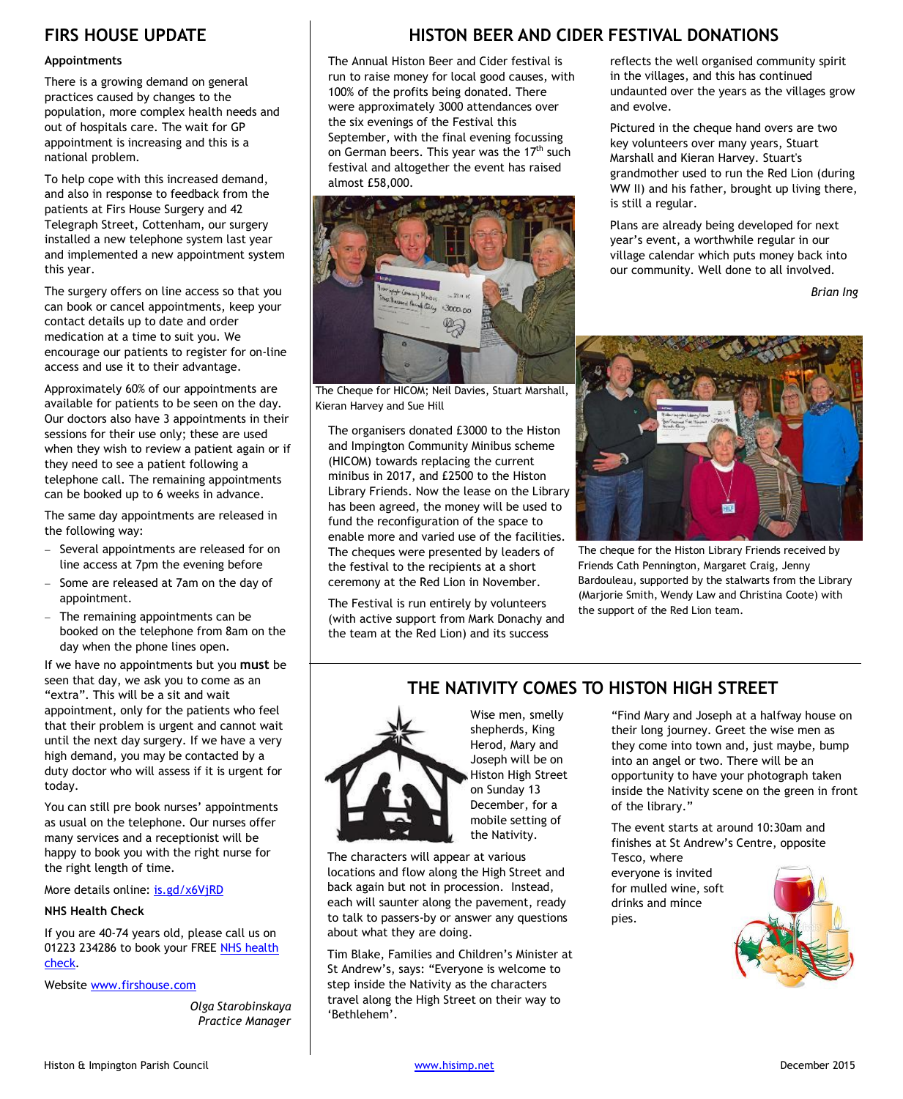# **FIRS HOUSE UPDATE**

### **Appointments**

There is a growing demand on general practices caused by changes to the population, more complex health needs and out of hospitals care. The wait for GP appointment is increasing and this is a national problem.

To help cope with this increased demand, and also in response to feedback from the patients at Firs House Surgery and 42 Telegraph Street, Cottenham, our surgery installed a new telephone system last year and implemented a new appointment system this year.

The surgery offers on line access so that you can book or cancel appointments, keep your contact details up to date and order medication at a time to suit you. We encourage our patients to register for on-line access and use it to their advantage.

Approximately 60% of our appointments are available for patients to be seen on the day. Our doctors also have 3 appointments in their sessions for their use only; these are used when they wish to review a patient again or if they need to see a patient following a telephone call. The remaining appointments can be booked up to 6 weeks in advance.

The same day appointments are released in the following way:

- Several appointments are released for on line access at 7pm the evening before
- $-$  Some are released at 7am on the day of appointment.
- The remaining appointments can be booked on the telephone from 8am on the day when the phone lines open.

If we have no appointments but you **must** be seen that day, we ask you to come as an "extra". This will be a sit and wait appointment, only for the patients who feel that their problem is urgent and cannot wait until the next day surgery. If we have a very high demand, you may be contacted by a duty doctor who will assess if it is urgent for today.

You can still pre book nurses' appointments as usual on the telephone. Our nurses offer many services and a receptionist will be happy to book you with the right nurse for the right length of time.

More details online: [is.gd/x6VjRD](http://is.gd/x6VjRD)

### **NHS Health Check**

If you are 40-74 years old, please call us on [01223 234286 to book your FREE](http://www.healthcheck.nhs.uk/) NHS health check.

Website [www.firshouse.com](http://www.firshouse.com/)

*Olga Starobinskaya Practice Manager*

# **HISTON BEER AND CIDER FESTIVAL DONATIONS**

The Annual Histon Beer and Cider festival is run to raise money for local good causes, with 100% of the profits being donated. There were approximately 3000 attendances over the six evenings of the Festival this September, with the final evening focussing on German beers. This year was the 17<sup>th</sup> such festival and altogether the event has raised almost £58,000.



The Cheque for HICOM; Neil Davies, Stuart Marshall, Kieran Harvey and Sue Hill

The organisers donated £3000 to the Histon and Impington Community Minibus scheme (HICOM) towards replacing the current minibus in 2017, and £2500 to the Histon Library Friends. Now the lease on the Library has been agreed, the money will be used to fund the reconfiguration of the space to enable more and varied use of the facilities. The cheques were presented by leaders of the festival to the recipients at a short ceremony at the Red Lion in November.

The Festival is run entirely by volunteers (with active support from Mark Donachy and the team at the Red Lion) and its success

reflects the well organised community spirit in the villages, and this has continued undaunted over the years as the villages grow and evolve.

Pictured in the cheque hand overs are two key volunteers over many years, Stuart Marshall and Kieran Harvey. Stuart's grandmother used to run the Red Lion (during WW II) and his father, brought up living there, is still a regular.

Plans are already being developed for next year's event, a worthwhile regular in our village calendar which puts money back into our community. Well done to all involved.

*Brian Ing*



The cheque for the Histon Library Friends received by Friends Cath Pennington, Margaret Craig, Jenny Bardouleau, supported by the stalwarts from the Library (Marjorie Smith, Wendy Law and Christina Coote) with the support of the Red Lion team.

# **THE NATIVITY COMES TO HISTON HIGH STREET**



Wise men, smelly shepherds, King Herod, Mary and Joseph will be on Histon High Street on Sunday 13 December, for a mobile setting of the Nativity.

The characters will appear at various locations and flow along the High Street and back again but not in procession. Instead, each will saunter along the pavement, ready to talk to passers-by or answer any questions about what they are doing.

Tim Blake, Families and Children's Minister at St Andrew's, says: "Everyone is welcome to step inside the Nativity as the characters travel along the High Street on their way to 'Bethlehem'.

"Find Mary and Joseph at a halfway house on their long journey. Greet the wise men as they come into town and, just maybe, bump into an angel or two. There will be an opportunity to have your photograph taken inside the Nativity scene on the green in front of the library."

The event starts at around 10:30am and finishes at St Andrew's Centre, opposite Tesco, where

everyone is invited for mulled wine, soft drinks and mince pies.

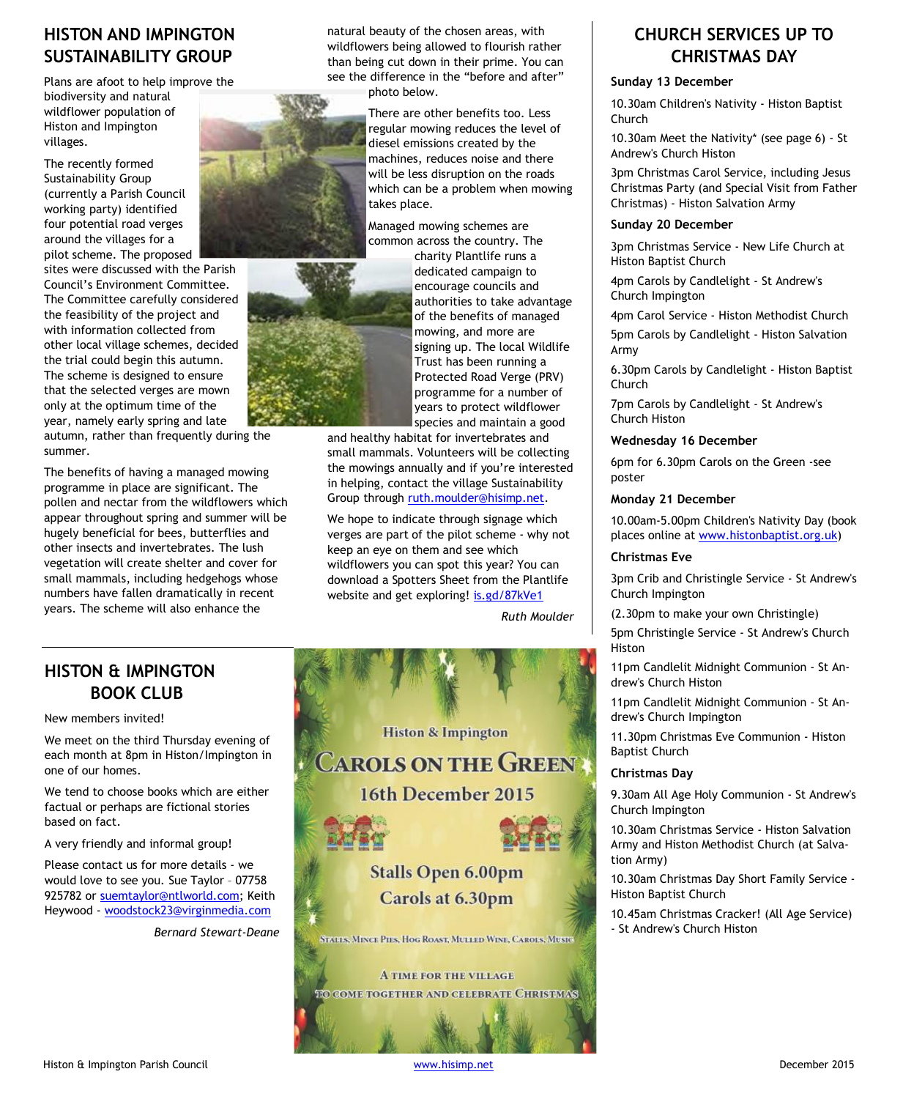# **HISTON AND IMPINGTON SUSTAINABILITY GROUP**

Plans are afoot to help improve the

biodiversity and natural wildflower population of Histon and Impington villages.

The recently formed Sustainability Group (currently a Parish Council working party) identified four potential road verges around the villages for a pilot scheme. The proposed

sites were discussed with the Parish Council's Environment Committee. The Committee carefully considered the feasibility of the project and with information collected from other local village schemes, decided the trial could begin this autumn. The scheme is designed to ensure that the selected verges are mown only at the optimum time of the year, namely early spring and late

autumn, rather than frequently during the summer.

The benefits of having a managed mowing programme in place are significant. The pollen and nectar from the wildflowers which appear throughout spring and summer will be hugely beneficial for bees, butterflies and other insects and invertebrates. The lush vegetation will create shelter and cover for small mammals, including hedgehogs whose numbers have fallen dramatically in recent years. The scheme will also enhance the





natural beauty of the chosen areas, with wildflowers being allowed to flourish rather than being cut down in their prime. You can see the difference in the "before and after" photo below.

> There are other benefits too. Less regular mowing reduces the level of diesel emissions created by the machines, reduces noise and there will be less disruption on the roads which can be a problem when mowing takes place.

> Managed mowing schemes are common across the country. The charity Plantlife runs a dedicated campaign to encourage councils and authorities to take advantage of the benefits of managed mowing, and more are signing up. The local Wildlife Trust has been running a Protected Road Verge (PRV) programme for a number of years to protect wildflower species and maintain a good

and healthy habitat for invertebrates and small mammals. Volunteers will be collecting the mowings annually and if you're interested in helping, contact the village Sustainability Group through [ruth.moulder@hisimp.net](mailto:ruth.moulder@hisimp.net?subject=Sustainability%20Group).

We hope to indicate through signage which verges are part of the pilot scheme - why not keep an eye on them and see which wildflowers you can spot this year? You can download a Spotters Sheet from the Plantlife website and get exploring! [is.gd/87kVe1](http://www.plantlife.org.uk/explore_nature/id_sheets/)

*Ruth Moulder*

# **HISTON & IMPINGTON BOOK CLUB**

New members invited!

We meet on the third Thursday evening of each month at 8pm in Histon/Impington in one of our homes.

We tend to choose books which are either factual or perhaps are fictional stories based on fact.

A very friendly and informal group!

Please contact us for more details - we would love to see you. Sue Taylor – 07758 925782 or [suemtaylor@ntlworld.com](mailto:suemtaylor@ntlworld.com?subject=Book%20Club); Keith Heywood - [woodstock23@virginmedia.com](mailto:woodstock23@virginmedia.com?subject=Book%20Club)

*Bernard Stewart-Deane*



# **CHURCH SERVICES UP TO CHRISTMAS DAY**

### **Sunday 13 December**

10.30am Children's Nativity - Histon Baptist **Church** 

10.30am Meet the Nativity\* (see page 6) - St Andrew's Church Histon

3pm Christmas Carol Service, including Jesus Christmas Party (and Special Visit from Father Christmas) - Histon Salvation Army

### **Sunday 20 December**

3pm Christmas Service - New Life Church at Histon Baptist Church

4pm Carols by Candlelight - St Andrew's Church Impington

4pm Carol Service - Histon Methodist Church

5pm Carols by Candlelight - Histon Salvation Army

6.30pm Carols by Candlelight - Histon Baptist Church

7pm Carols by Candlelight - St Andrew's Church Histon

### **Wednesday 16 December**

6pm for 6.30pm Carols on the Green -see poster

### **Monday 21 December**

10.00am-5.00pm Children's Nativity Day (book places online at [www.histonbaptist.org.uk](http://www.histonbaptist.org.uk/))

### **Christmas Eve**

3pm Crib and Christingle Service - St Andrew's Church Impington

(2.30pm to make your own Christingle)

5pm Christingle Service - St Andrew's Church Histon

11pm Candlelit Midnight Communion - St Andrew's Church Histon

11pm Candlelit Midnight Communion - St Andrew's Church Impington

11.30pm Christmas Eve Communion - Histon Baptist Church

### **Christmas Day**

9.30am All Age Holy Communion - St Andrew's Church Impington

10.30am Christmas Service - Histon Salvation Army and Histon Methodist Church (at Salvation Army)

10.30am Christmas Day Short Family Service - Histon Baptist Church

10.45am Christmas Cracker! (All Age Service) - St Andrew's Church Histon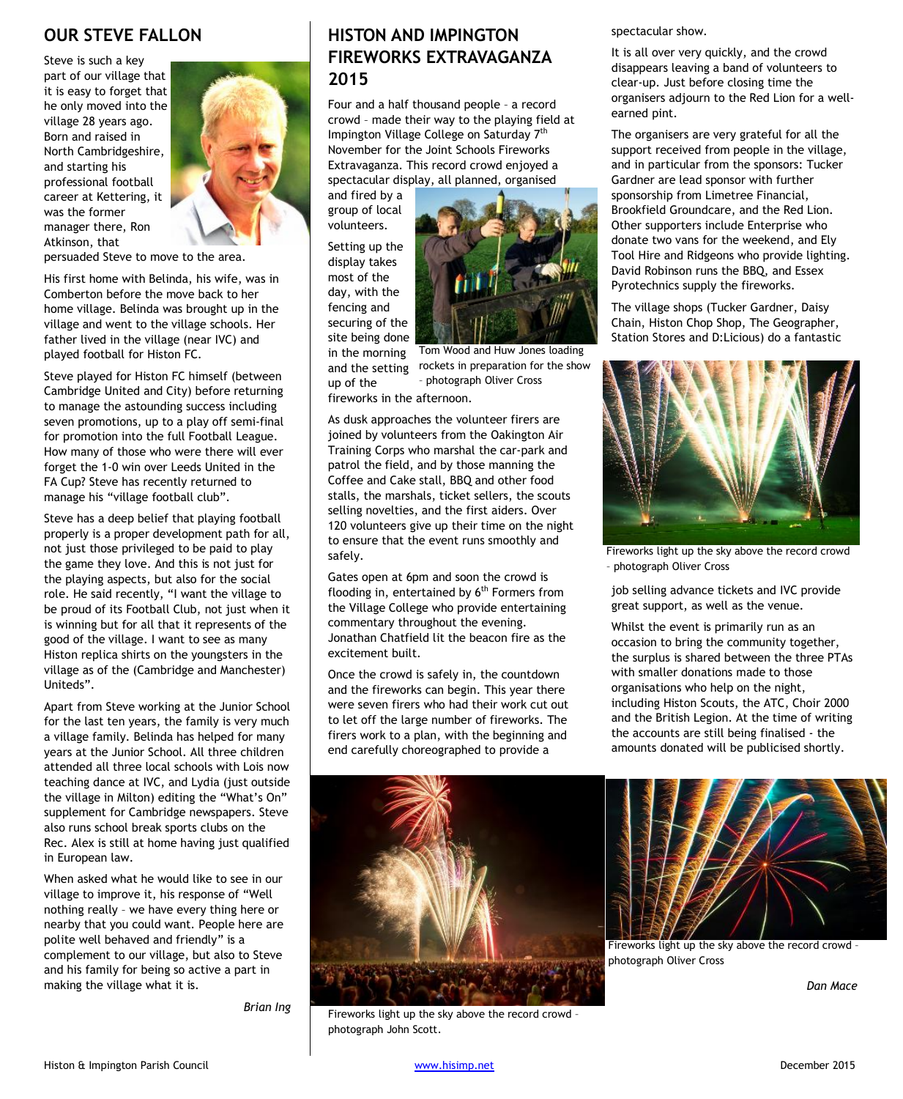# **OUR STEVE FALLON**

Steve is such a key part of our village that it is easy to forget that he only moved into the village 28 years ago. Born and raised in North Cambridgeshire, and starting his professional football career at Kettering, it was the former manager there, Ron Atkinson, that



persuaded Steve to move to the area.

His first home with Belinda, his wife, was in Comberton before the move back to her home village. Belinda was brought up in the village and went to the village schools. Her father lived in the village (near IVC) and played football for Histon FC.

Steve played for Histon FC himself (between Cambridge United and City) before returning to manage the astounding success including seven promotions, up to a play off semi-final for promotion into the full Football League. How many of those who were there will ever forget the 1-0 win over Leeds United in the FA Cup? Steve has recently returned to manage his "village football club".

Steve has a deep belief that playing football properly is a proper development path for all, not just those privileged to be paid to play the game they love. And this is not just for the playing aspects, but also for the social role. He said recently, "I want the village to be proud of its Football Club, not just when it is winning but for all that it represents of the good of the village. I want to see as many Histon replica shirts on the youngsters in the village as of the (Cambridge and Manchester) Uniteds".

Apart from Steve working at the Junior School for the last ten years, the family is very much a village family. Belinda has helped for many years at the Junior School. All three children attended all three local schools with Lois now teaching dance at IVC, and Lydia (just outside the village in Milton) editing the "What's On" supplement for Cambridge newspapers. Steve also runs school break sports clubs on the Rec. Alex is still at home having just qualified in European law.

When asked what he would like to see in our village to improve it, his response of "Well nothing really – we have every thing here or nearby that you could want. People here are polite well behaved and friendly" is a complement to our village, but also to Steve and his family for being so active a part in making the village what it is.

*Brian Ing*

# **HISTON AND IMPINGTON FIREWORKS EXTRAVAGANZA 2015**

Four and a half thousand people – a record crowd – made their way to the playing field at Impington Village College on Saturday 7<sup>th</sup> November for the Joint Schools Fireworks Extravaganza. This record crowd enjoyed a spectacular display, all planned, organised

and fired by a group of local volunteers.

Setting up the display takes most of the day, with the fencing and securing of the site being done in the morning

up of the



and the setting Tom Wood and Huw Jones loading rockets in preparation for the show – photograph Oliver Cross

fireworks in the afternoon.

As dusk approaches the volunteer firers are joined by volunteers from the Oakington Air Training Corps who marshal the car-park and patrol the field, and by those manning the Coffee and Cake stall, BBQ and other food stalls, the marshals, ticket sellers, the scouts selling novelties, and the first aiders. Over 120 volunteers give up their time on the night to ensure that the event runs smoothly and safely.

Gates open at 6pm and soon the crowd is flooding in, entertained by  $6<sup>th</sup>$  Formers from the Village College who provide entertaining commentary throughout the evening. Jonathan Chatfield lit the beacon fire as the excitement built.

Once the crowd is safely in, the countdown and the fireworks can begin. This year there were seven firers who had their work cut out to let off the large number of fireworks. The firers work to a plan, with the beginning and end carefully choreographed to provide a

spectacular show.

It is all over very quickly, and the crowd disappears leaving a band of volunteers to clear-up. Just before closing time the organisers adjourn to the Red Lion for a wellearned pint.

The organisers are very grateful for all the support received from people in the village, and in particular from the sponsors: Tucker Gardner are lead sponsor with further sponsorship from Limetree Financial, Brookfield Groundcare, and the Red Lion. Other supporters include Enterprise who donate two vans for the weekend, and Ely Tool Hire and Ridgeons who provide lighting. David Robinson runs the BBQ, and Essex Pyrotechnics supply the fireworks.

The village shops (Tucker Gardner, Daisy Chain, Histon Chop Shop, The Geographer, Station Stores and D:Licious) do a fantastic



Fireworks light up the sky above the record crowd – photograph Oliver Cross

job selling advance tickets and IVC provide great support, as well as the venue.

Whilst the event is primarily run as an occasion to bring the community together, the surplus is shared between the three PTAs with smaller donations made to those organisations who help on the night, including Histon Scouts, the ATC, Choir 2000 and the British Legion. At the time of writing the accounts are still being finalised - the amounts donated will be publicised shortly.



Fireworks light up the sky above the record crowd – photograph John Scott.



Fireworks light up the sky above the record crowd – photograph Oliver Cross

*Dan Mace*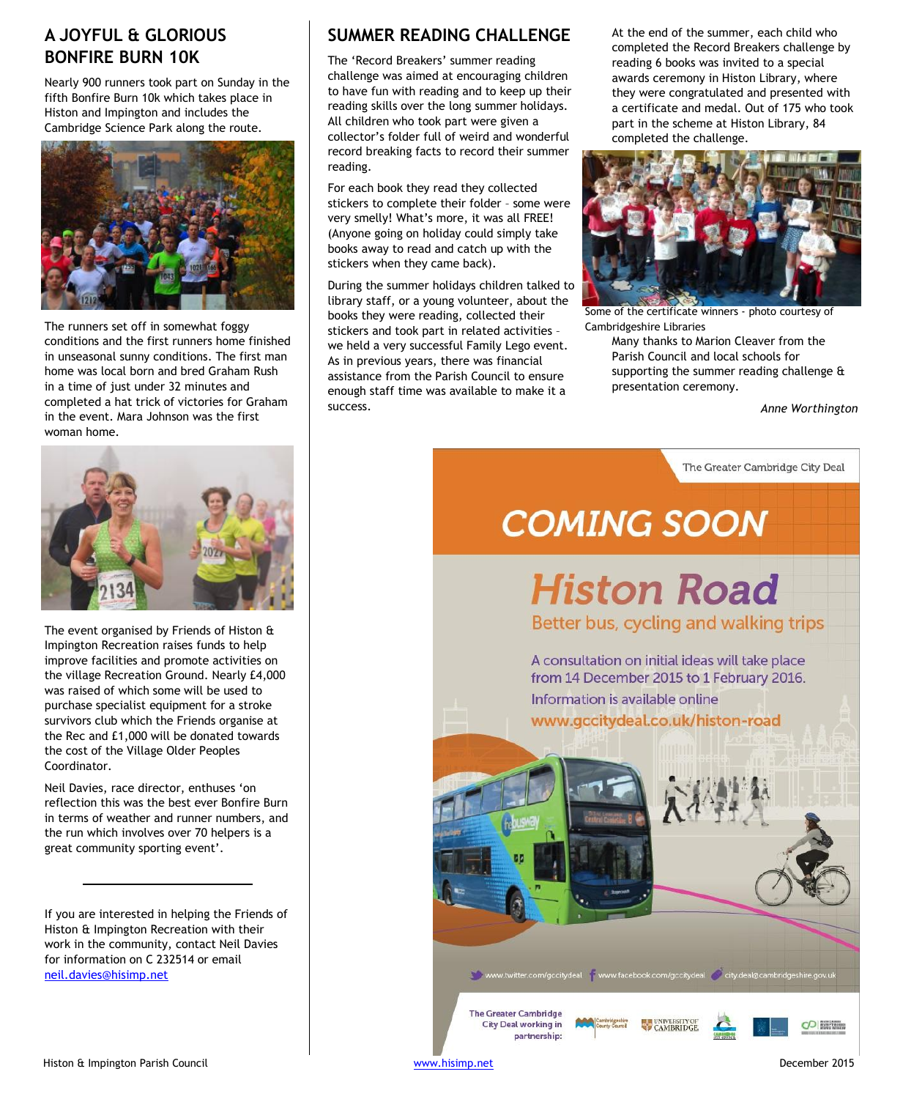# **A JOYFUL & GLORIOUS BONFIRE BURN 10K**

Nearly 900 runners took part on Sunday in the fifth Bonfire Burn 10k which takes place in Histon and Impington and includes the Cambridge Science Park along the route.



The runners set off in somewhat foggy conditions and the first runners home finished in unseasonal sunny conditions. The first man home was local born and bred Graham Rush in a time of just under 32 minutes and completed a hat trick of victories for Graham in the event. Mara Johnson was the first woman home.



The event organised by Friends of Histon & Impington Recreation raises funds to help improve facilities and promote activities on the village Recreation Ground. Nearly £4,000 was raised of which some will be used to purchase specialist equipment for a stroke survivors club which the Friends organise at the Rec and £1,000 will be donated towards the cost of the Village Older Peoples Coordinator.

Neil Davies, race director, enthuses 'on reflection this was the best ever Bonfire Burn in terms of weather and runner numbers, and the run which involves over 70 helpers is a great community sporting event'.

If you are interested in helping the Friends of Histon & Impington Recreation with their work in the community, contact Neil Davies for information on C 232514 or email [neil.davies@hisimp.net](mailto:neil.davies@hisimp.net)

# **SUMMER READING CHALLENGE**

The 'Record Breakers' summer reading challenge was aimed at encouraging children to have fun with reading and to keep up their reading skills over the long summer holidays. All children who took part were given a collector's folder full of weird and wonderful record breaking facts to record their summer reading.

For each book they read they collected stickers to complete their folder – some were very smelly! What's more, it was all FREE! (Anyone going on holiday could simply take books away to read and catch up with the stickers when they came back).

During the summer holidays children talked to library staff, or a young volunteer, about the books they were reading, collected their stickers and took part in related activities – we held a very successful Family Lego event. As in previous years, there was financial assistance from the Parish Council to ensure enough staff time was available to make it a success.

At the end of the summer, each child who completed the Record Breakers challenge by reading 6 books was invited to a special awards ceremony in Histon Library, where they were congratulated and presented with a certificate and medal. Out of 175 who took part in the scheme at Histon Library, 84 completed the challenge.



Some of the certificate winners - photo courtesy of Cambridgeshire Libraries

> Many thanks to Marion Cleaver from the Parish Council and local schools for supporting the summer reading challenge & presentation ceremony.

> > *Anne Worthington*

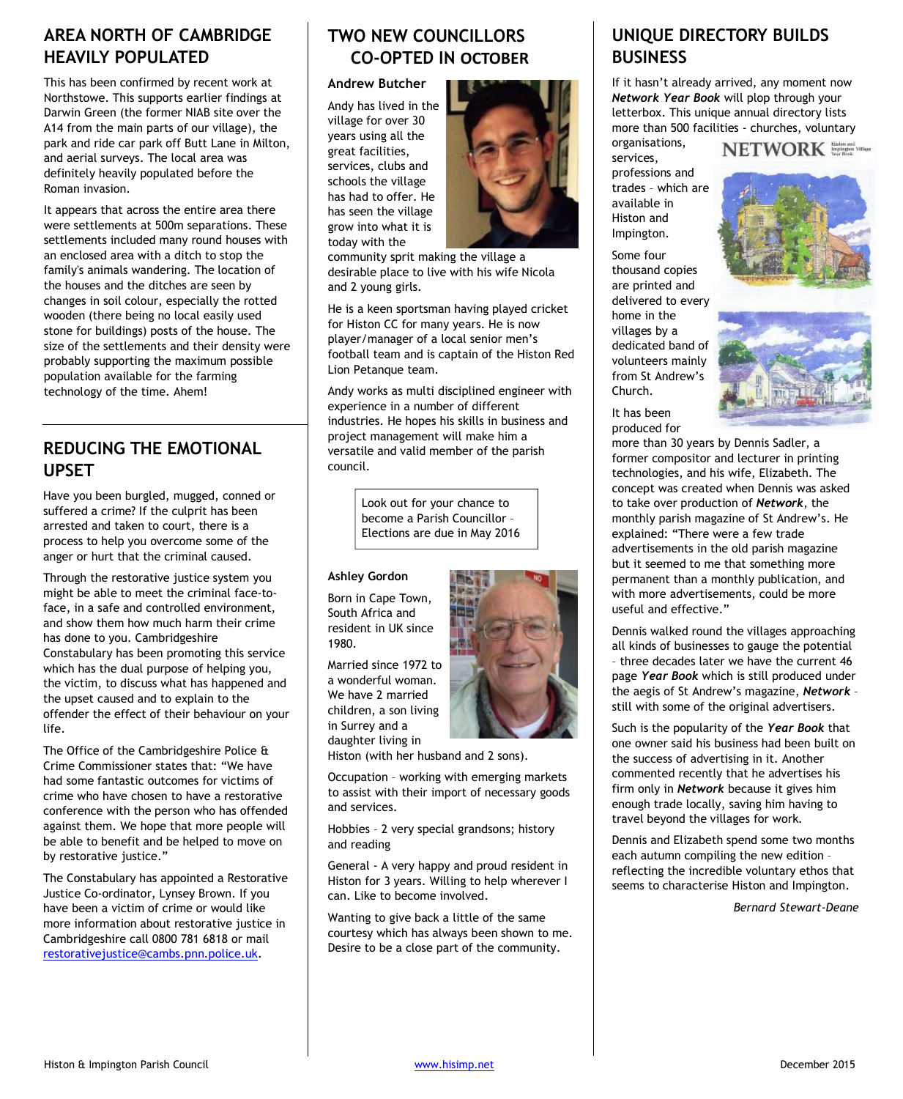# **AREA NORTH OF CAMBRIDGE HEAVILY POPULATED**

This has been confirmed by recent work at Northstowe. This supports earlier findings at Darwin Green (the former NIAB site over the A14 from the main parts of our village), the park and ride car park off Butt Lane in Milton, and aerial surveys. The local area was definitely heavily populated before the Roman invasion.

It appears that across the entire area there were settlements at 500m separations. These settlements included many round houses with an enclosed area with a ditch to stop the family's animals wandering. The location of the houses and the ditches are seen by changes in soil colour, especially the rotted wooden (there being no local easily used stone for buildings) posts of the house. The size of the settlements and their density were probably supporting the maximum possible population available for the farming technology of the time. Ahem!

# **REDUCING THE EMOTIONAL UPSET**

Have you been burgled, mugged, conned or suffered a crime? If the culprit has been arrested and taken to court, there is a process to help you overcome some of the anger or hurt that the criminal caused.

Through the restorative justice system you might be able to meet the criminal face-toface, in a safe and controlled environment, and show them how much harm their crime has done to you. Cambridgeshire Constabulary has been promoting this service which has the dual purpose of helping you, the victim, to discuss what has happened and the upset caused and to explain to the offender the effect of their behaviour on your life.

The Office of the Cambridgeshire Police & Crime Commissioner states that: "We have had some fantastic outcomes for victims of crime who have chosen to have a restorative conference with the person who has offended against them. We hope that more people will be able to benefit and be helped to move on by restorative justice."

The Constabulary has appointed a Restorative Justice Co-ordinator, Lynsey Brown. If you have been a victim of crime or would like more information about restorative justice in Cambridgeshire call 0800 781 6818 or mail [restorativejustice@cambs.pnn.police.uk](mailto:restorativejustice@cambs.pnn.police.uk).

# **TWO NEW COUNCILLORS CO-OPTED IN OCTOBER**

### **Andrew Butcher**

Andy has lived in the village for over 30 years using all the great facilities, services, clubs and schools the village has had to offer. He has seen the village grow into what it is today with the

community sprit making the village a desirable place to live with his wife Nicola and 2 young girls.

He is a keen sportsman having played cricket for Histon CC for many years. He is now player/manager of a local senior men's football team and is captain of the Histon Red Lion Petanque team.

Andy works as multi disciplined engineer with experience in a number of different industries. He hopes his skills in business and project management will make him a versatile and valid member of the parish council.

> Look out for your chance to become a Parish Councillor – Elections are due in May 2016

### **Ashley Gordon**

Born in Cape Town, South Africa and resident in UK since 1980.

Married since 1972 to a wonderful woman. We have 2 married children, a son living in Surrey and a daughter living in

Histon (with her husband and 2 sons).

Occupation – working with emerging markets to assist with their import of necessary goods and services.

Hobbies – 2 very special grandsons; history and reading

General - A very happy and proud resident in Histon for 3 years. Willing to help wherever I can. Like to become involved.

Wanting to give back a little of the same courtesy which has always been shown to me. Desire to be a close part of the community.



# **UNIQUE DIRECTORY BUILDS BUSINESS**

If it hasn't already arrived, any moment now *Network Year Book* will plop through your letterbox. This unique annual directory lists more than 500 facilities - churches, voluntary

organisations, services, professions and trades – which are available in Histon and Impington.

Some four thousand copies are printed and delivered to every home in the villages by a dedicated band of volunteers mainly from St Andrew's Church.



**NETWORK** 



It has been produced for

more than 30 years by Dennis Sadler, a former compositor and lecturer in printing technologies, and his wife, Elizabeth. The concept was created when Dennis was asked to take over production of *Network*, the monthly parish magazine of St Andrew's. He explained: "There were a few trade advertisements in the old parish magazine but it seemed to me that something more permanent than a monthly publication, and with more advertisements, could be more useful and effective."

Dennis walked round the villages approaching all kinds of businesses to gauge the potential – three decades later we have the current 46 page *Year Book* which is still produced under the aegis of St Andrew's magazine, *Network* – still with some of the original advertisers.

Such is the popularity of the *Year Book* that one owner said his business had been built on the success of advertising in it. Another commented recently that he advertises his firm only in *Network* because it gives him enough trade locally, saving him having to travel beyond the villages for work.

Dennis and Elizabeth spend some two months each autumn compiling the new edition – reflecting the incredible voluntary ethos that seems to characterise Histon and Impington.

*Bernard Stewart-Deane*

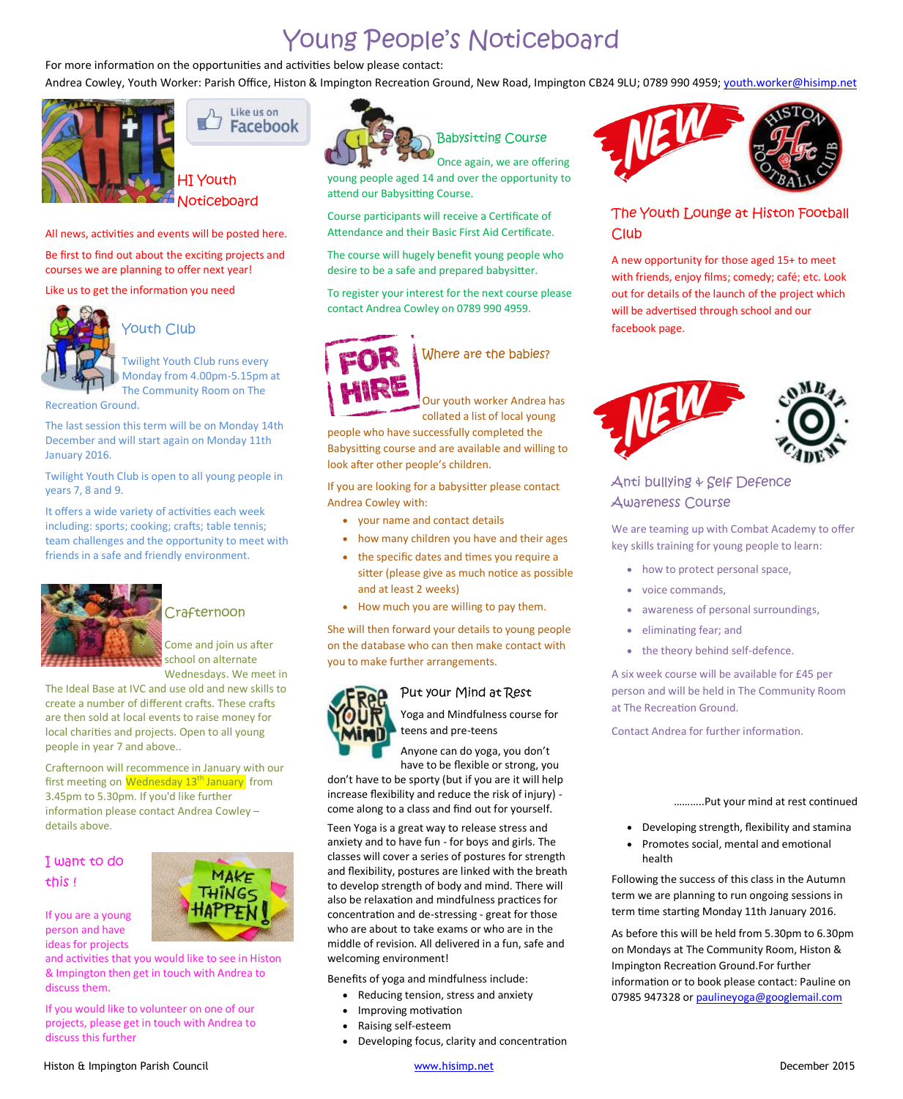# Young People's Noticeboard

For more information on the opportunities and activities below please contact:

Andrea Cowley, Youth Worker: Parish Office, Histon & Impington Recreation Ground, New Road, Impington CB24 9LU; 0789 990 4959; [youth.worker@hisimp.net](mailto:youth.worker@hisimp.net)



Like us on L. Facebook

HI Youth Noticeboard

All news, activities and events will be posted here.

Be first to find out about the exciting projects and courses we are planning to offer next year!

Like us to get the information you need



Youth Club

Twilight Youth Club runs every Monday from 4.00pm-5.15pm at The Community Room on The

Recreation Ground.

The last session this term will be on Monday 14th December and will start again on Monday 11th January 2016.

Twilight Youth Club is open to all young people in years 7, 8 and 9.

It offers a wide variety of activities each week including: sports; cooking; crafts; table tennis; team challenges and the opportunity to meet with friends in a safe and friendly environment.



# **Crafternoon**

Come and join us after school on alternate Wednesdays. We meet in

The Ideal Base at IVC and use old and new skills to create a number of different crafts. These crafts are then sold at local events to raise money for local charities and projects. Open to all young people in year 7 and above..

Crafternoon will recommence in January with our first meeting on Wednesday 13<sup>th</sup> January from 3.45pm to 5.30pm. If you'd like further information please contact Andrea Cowley details above.

## I want to do this !

If you are a young person and have ideas for projects

and activities that you would like to see in Histon & Impington then get in touch with Andrea to discuss them.

If you would like to volunteer on one of our projects, please get in touch with Andrea to discuss this further



Babysitting Course

Once again, we are offering young people aged 14 and over the opportunity to attend our Babysitting Course.

Course participants will receive a Certificate of Attendance and their Basic First Aid Certificate.

The course will hugely benefit young people who desire to be a safe and prepared babysitter.

To register your interest for the next course please contact Andrea Cowley on 0789 990 4959.



Where are the babies?

Our youth worker Andrea has

collated a list of local young people who have successfully completed the Babysitting course and are available and willing to look after other people's children.

If you are looking for a babysitter please contact Andrea Cowley with:

- ∂ your name and contact details
- ∂ how many children you have and their ages
- the specific dates and times you require a sitter (please give as much notice as possible and at least 2 weeks)
- How much you are willing to pay them.

She will then forward your details to young people on the database who can then make contact with you to make further arrangements.



Put your Mind at Rest

Yoga and Mindfulness course for teens and pre-teens

Anyone can do yoga, you don't have to be flexible or strong, you

don't have to be sporty (but if you are it will help increase flexibility and reduce the risk of injury) come along to a class and find out for yourself.

Teen Yoga is a great way to release stress and anxiety and to have fun - for boys and girls. The classes will cover a series of postures for strength and flexibility, postures are linked with the breath to develop strength of body and mind. There will also be relaxation and mindfulness practices for concentration and de-stressing - great for those who are about to take exams or who are in the middle of revision. All delivered in a fun, safe and welcoming environment!

Benefits of yoga and mindfulness include:

- ∂ Reducing tension, stress and anxiety
- Improving motivation
- ∂ Raising self-esteem
- Developing focus, clarity and concentration



## The Youth Lounge at Histon Football Club

A new opportunity for those aged 15+ to meet with friends, enjoy films; comedy; café; etc. Look out for details of the launch of the project which will be advertised through school and our facebook page.



### Anti bullying & Self Defence Awareness Course

We are teaming up with Combat Academy to offer key skills training for young people to learn:

- how to protect personal space,
- ∂ voice commands,
- awareness of personal surroundings,
- eliminating fear; and
- the theory behind self-defence.

A six week course will be available for £45 per person and will be held in The Community Room at The Recreation Ground.

Contact Andrea for further information.

...........Put your mind at rest continued

- Developing strength, flexibility and stamina
- Promotes social, mental and emotional health

Following the success of this class in the Autumn term we are planning to run ongoing sessions in term time starting Monday 11th January 2016.

As before this will be held from 5.30pm to 6.30pm on Mondays at The Community Room, Histon & Impington Recreation Ground.For further information or to book please contact: Pauline on 07985 947328 or [paulineyoga@googlemail.com](mailto:paulineyoga@googlemail.com)